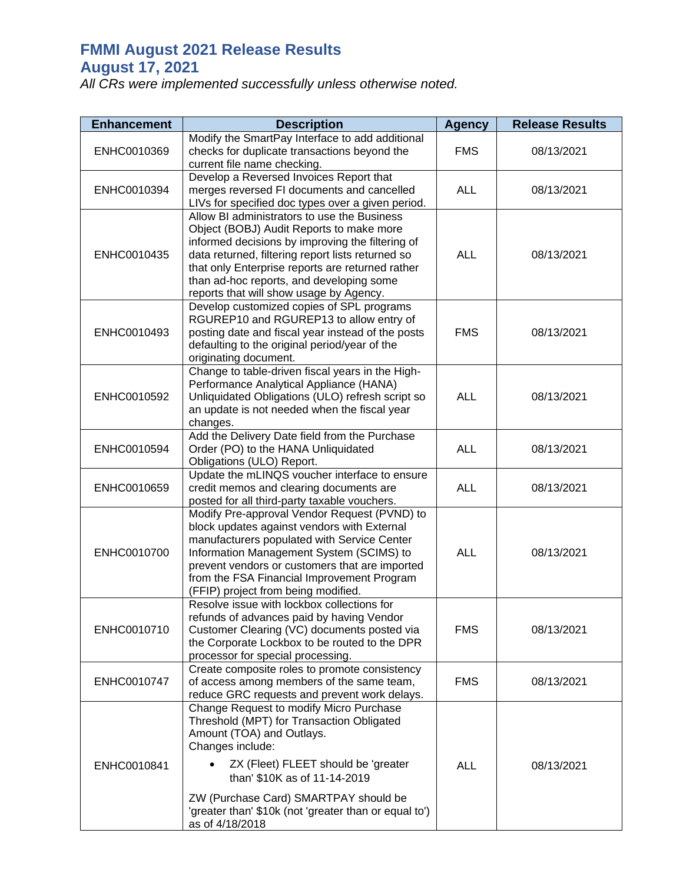## **FMMI August 2021 Release Results August 17, 2021**

*All CRs were implemented successfully unless otherwise noted.*

| <b>Enhancement</b> | <b>Description</b>                                                                                                                                                                                                                                                                                                                          | <b>Agency</b> | <b>Release Results</b> |
|--------------------|---------------------------------------------------------------------------------------------------------------------------------------------------------------------------------------------------------------------------------------------------------------------------------------------------------------------------------------------|---------------|------------------------|
| ENHC0010369        | Modify the SmartPay Interface to add additional<br>checks for duplicate transactions beyond the<br>current file name checking.                                                                                                                                                                                                              | <b>FMS</b>    | 08/13/2021             |
| ENHC0010394        | Develop a Reversed Invoices Report that<br>merges reversed FI documents and cancelled<br>LIVs for specified doc types over a given period.                                                                                                                                                                                                  | <b>ALL</b>    | 08/13/2021             |
| ENHC0010435        | Allow BI administrators to use the Business<br>Object (BOBJ) Audit Reports to make more<br>informed decisions by improving the filtering of<br>data returned, filtering report lists returned so<br>that only Enterprise reports are returned rather<br>than ad-hoc reports, and developing some<br>reports that will show usage by Agency. | <b>ALL</b>    | 08/13/2021             |
| ENHC0010493        | Develop customized copies of SPL programs<br>RGUREP10 and RGUREP13 to allow entry of<br>posting date and fiscal year instead of the posts<br>defaulting to the original period/year of the<br>originating document.                                                                                                                         | <b>FMS</b>    | 08/13/2021             |
| ENHC0010592        | Change to table-driven fiscal years in the High-<br>Performance Analytical Appliance (HANA)<br>Unliquidated Obligations (ULO) refresh script so<br>an update is not needed when the fiscal year<br>changes.                                                                                                                                 | <b>ALL</b>    | 08/13/2021             |
| ENHC0010594        | Add the Delivery Date field from the Purchase<br>Order (PO) to the HANA Unliquidated<br>Obligations (ULO) Report.                                                                                                                                                                                                                           | <b>ALL</b>    | 08/13/2021             |
| ENHC0010659        | Update the mLINQS voucher interface to ensure<br>credit memos and clearing documents are<br>posted for all third-party taxable vouchers.                                                                                                                                                                                                    | <b>ALL</b>    | 08/13/2021             |
| ENHC0010700        | Modify Pre-approval Vendor Request (PVND) to<br>block updates against vendors with External<br>manufacturers populated with Service Center<br>Information Management System (SCIMS) to<br>prevent vendors or customers that are imported<br>from the FSA Financial Improvement Program<br>(FFIP) project from being modified.               | <b>ALL</b>    | 08/13/2021             |
| ENHC0010710        | Resolve issue with lockbox collections for<br>refunds of advances paid by having Vendor<br>Customer Clearing (VC) documents posted via<br>the Corporate Lockbox to be routed to the DPR<br>processor for special processing.                                                                                                                | <b>FMS</b>    | 08/13/2021             |
| ENHC0010747        | Create composite roles to promote consistency<br>of access among members of the same team,<br>reduce GRC requests and prevent work delays.                                                                                                                                                                                                  | <b>FMS</b>    | 08/13/2021             |
| ENHC0010841        | Change Request to modify Micro Purchase<br>Threshold (MPT) for Transaction Obligated<br>Amount (TOA) and Outlays.<br>Changes include:<br>ZX (Fleet) FLEET should be 'greater<br>than' \$10K as of 11-14-2019                                                                                                                                | <b>ALL</b>    | 08/13/2021             |
|                    | ZW (Purchase Card) SMARTPAY should be<br>'greater than' \$10k (not 'greater than or equal to')<br>as of 4/18/2018                                                                                                                                                                                                                           |               |                        |